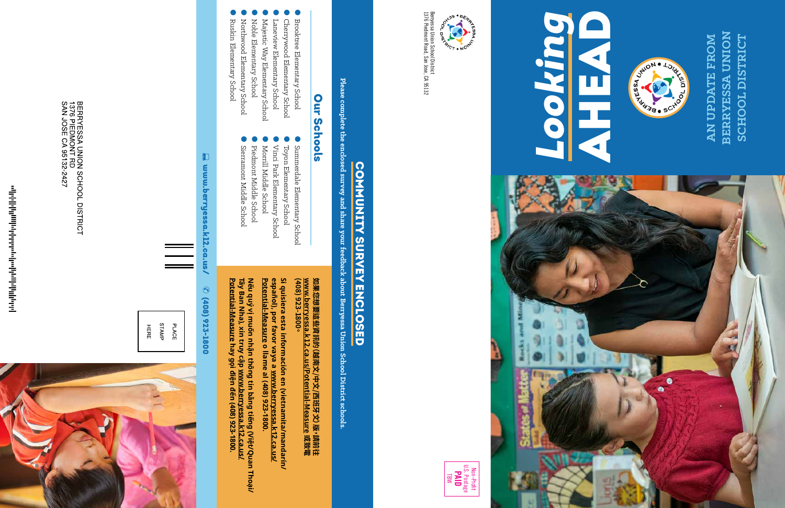Berryessa Union School District<br>1376 Piedmont Road, San Jose, CA 95132 1376 Piedmont Road, San Jose, CA 95132 Berryessa Union School District

Non-Profit U.S. Postage

● Brooktree Elementary School **Brooktree Elementary School** 

#### **PAID** TBW

- ● Cherrywood Elementary School Cherrywood Elementary School
- ● Laneview Elementary School Laneview Elementary School
- ●Majestic Way Elementary School
- Majestic Way Elementary School
- ● Noble Elementary School Noble Elementary School
- ●● Northwood Elementary School Northwood Elementary School
- Ruskin Elementary School Ruskin Elementary School











**BERRYESSA UNION AN UPDATE FROM BERRYESSA UNION** SCHOOL DISTRICT AN UPDATE FROM **SCHOOL DISTRICT**

### Sierramont Middle School Sierramont Middle School Piedmont Middle School

# COMMUNITY SURVEY ENCLOSED COMMUNITY SURVEY ENCLOSED

Please complete the enclosed survey and share your feedback about Berryessa Union School District schools. **Please complete the enclosed survey and share your feedback about Berryessa Union School District schools.**

#### $\blacksquare$ muu.berryessa.k12.ca.us/ www.berryessa.k12.ca.us/ **O** (408) 923-1800 (408) 923-1800

BERRYESSA UNION SCHOOL DISTRICT<br>1376 PIEDMONT RD<br>SAN JOSE CA 95132-2427

STAMP **PLACE** HERE



ին կվելի կունին նաև հանդարանի կվելի կ

#### **Our Schools** Our Schools

●

Summerdale Elementary School

Summerdale Elementary School

●

Toyon Elementary School

●

Vinci Park Elementary School

Vinci Park Elementary School Toyon Elementary School

Si quisiera esta información en (vietnamita/mandarín/<br>español), por favor vaya a <u>www.berryessa.k12.ca.us/</u><br>- ... ... Potential-Measure o llame al (408) 923-1800. **español), por favor vaya a Si quisiera esta información en (vietnamita/mandarín/ Potential-Measure o llame al (408) 923-1800. www.berryessa.k12.ca.us/**

●

Morrill Middle School

Morrill Middle School

●

Piedmont Middle School

●

Nếu quý vị muốn nhận thông tin bằng tiếng (Việt/Quan Thoại/<br>Tây Ban Nha), xin truy cập <u>www.berryessa.k12.ca.us/</u><br><u>Potential-Measure</u> hay gọi điện đến (408) 923-1800. **Tây Ban Nha), xin truy cập Potential-MeasureNếu quý vị muốn nhận thông tin bằng tiếng (Việt/Quan Thoại/ hay gọi điện đến (408) 923-1800.www.berryessa.k12.ca.us/**

**www.berryessa.k12.ca.us/Potential-Measure 如果您想要這些資訊的(越南文/中文/西班牙文)版,請前往** 如果您想要這些資訊的 (越南文/中文/西班牙文) 版**› 請前往**<br><u>www.berryessa.k12.ca.us/Potential-Measure 或</u>致電<br>(408) 923-1800<sup>。</sup> **(408) 923-1800。**